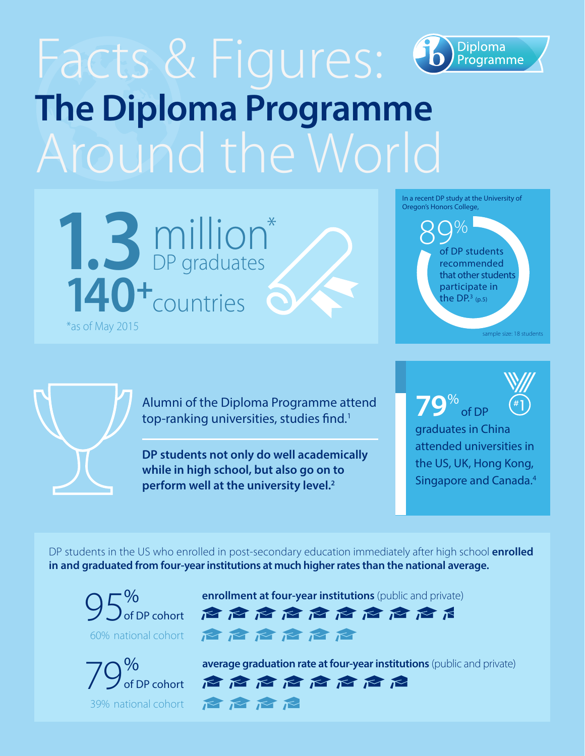## Facts & Figures: **Diploma** Programme **The Diploma Programme** Around the World



In a recent DP study at the University of Oregon's Honors College,

> 89% of DP students recommended that other students participate in the DP. $3$  (p.5)

> > sample size: 18 students



Alumni of the Diploma Programme attend top-ranking universities, studies find.<sup>1</sup>

**DP students not only do well academically while in high school, but also go on to perform well at the university level.2**

**79**% of DP

graduates in China attended universities in the US, UK, Hong Kong, Singapore and Canada.4

DP students in the US who enrolled in post-secondary education immediately after high school **enrolled in and graduated from four-year institutions at much higher rates than the national average.**

 $95<sup>%</sup>$  of DP cohort 60% national cohort



**enrollment at four-year institutions** (public and private)

危危危危危危危危危 启启启启启

**average graduation rate at four-year institutions** (public and private)<br> **of DP cohort**